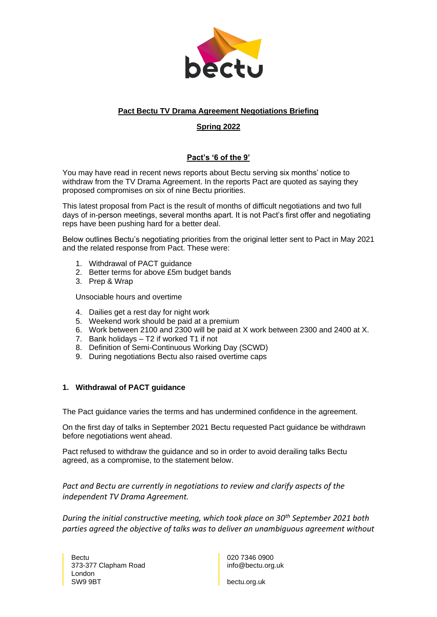

# **Pact Bectu TV Drama Agreement Negotiations Briefing**

# **Spring 2022**

# **Pact's '6 of the 9'**

You may have read in recent news reports about Bectu serving six months' notice to withdraw from the TV Drama Agreement. In the reports Pact are quoted as saying they proposed compromises on six of nine Bectu priorities.

This latest proposal from Pact is the result of months of difficult negotiations and two full days of in-person meetings, several months apart. It is not Pact's first offer and negotiating reps have been pushing hard for a better deal.

Below outlines Bectu's negotiating priorities from the original letter sent to Pact in May 2021 and the related response from Pact. These were:

- 1. Withdrawal of PACT guidance
- 2. Better terms for above £5m budget bands
- 3. Prep & Wrap

Unsociable hours and overtime

- 4. Dailies get a rest day for night work
- 5. Weekend work should be paid at a premium
- 6. Work between 2100 and 2300 will be paid at X work between 2300 and 2400 at X.
- 7. Bank holidays T2 if worked T1 if not
- 8. Definition of Semi-Continuous Working Day (SCWD)
- 9. During negotiations Bectu also raised overtime caps

### **1. Withdrawal of PACT guidance**

The Pact guidance varies the terms and has undermined confidence in the agreement.

On the first day of talks in September 2021 Bectu requested Pact guidance be withdrawn before negotiations went ahead.

Pact refused to withdraw the guidance and so in order to avoid derailing talks Bectu agreed, as a compromise, to the statement below.

*Pact and Bectu are currently in negotiations to review and clarify aspects of the independent TV Drama Agreement.* 

*During the initial constructive meeting, which took place on 30th September 2021 both parties agreed the objective of talks was to deliver an unambiguous agreement without* 

020 7346 0900 info@bectu.org.uk

bectu.org.uk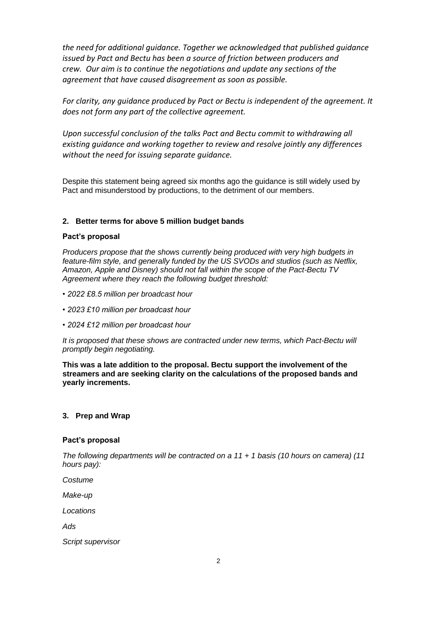*the need for additional guidance. Together we acknowledged that published guidance issued by Pact and Bectu has been a source of friction between producers and crew. Our aim is to continue the negotiations and update any sections of the agreement that have caused disagreement as soon as possible.* 

*For clarity, any guidance produced by Pact or Bectu is independent of the agreement. It does not form any part of the collective agreement.* 

*Upon successful conclusion of the talks Pact and Bectu commit to withdrawing all existing guidance and working together to review and resolve jointly any differences without the need for issuing separate guidance.* 

Despite this statement being agreed six months ago the guidance is still widely used by Pact and misunderstood by productions, to the detriment of our members.

### **2. Better terms for above 5 million budget bands**

#### **Pact's proposal**

*Producers propose that the shows currently being produced with very high budgets in feature-film style, and generally funded by the US SVODs and studios (such as Netflix, Amazon, Apple and Disney) should not fall within the scope of the Pact-Bectu TV Agreement where they reach the following budget threshold:* 

- *2022 £8.5 million per broadcast hour*
- *2023 £10 million per broadcast hour*
- *2024 £12 million per broadcast hour*

*It is proposed that these shows are contracted under new terms, which Pact-Bectu will promptly begin negotiating.*

**This was a late addition to the proposal. Bectu support the involvement of the streamers and are seeking clarity on the calculations of the proposed bands and yearly increments.** 

### **3. Prep and Wrap**

#### **Pact's proposal**

*The following departments will be contracted on a 11 + 1 basis (10 hours on camera) (11 hours pay):* 

*Costume* 

*Make-up* 

*Locations* 

*Ads*

*Script supervisor*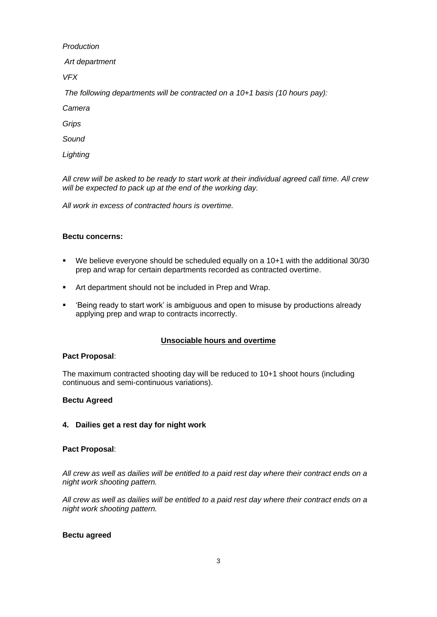#### *Production*

*Art department* 

*VFX*

*The following departments will be contracted on a 10+1 basis (10 hours pay):* 

*Camera* 

*Grips* 

*Sound* 

*Lighting* 

*All crew will be asked to be ready to start work at their individual agreed call time. All crew will be expected to pack up at the end of the working day.* 

*All work in excess of contracted hours is overtime.*

# **Bectu concerns:**

- We believe everyone should be scheduled equally on a 10+1 with the additional 30/30 prep and wrap for certain departments recorded as contracted overtime.
- Art department should not be included in Prep and Wrap.
- Seing ready to start work' is ambiguous and open to misuse by productions already applying prep and wrap to contracts incorrectly.

# **Unsociable hours and overtime**

### **Pact Proposal**:

The maximum contracted shooting day will be reduced to 10+1 shoot hours (including continuous and semi-continuous variations).

### **Bectu Agreed**

## **4. Dailies get a rest day for night work**

### **Pact Proposal**:

*All crew as well as dailies will be entitled to a paid rest day where their contract ends on a night work shooting pattern.*

*All crew as well as dailies will be entitled to a paid rest day where their contract ends on a night work shooting pattern.*

### **Bectu agreed**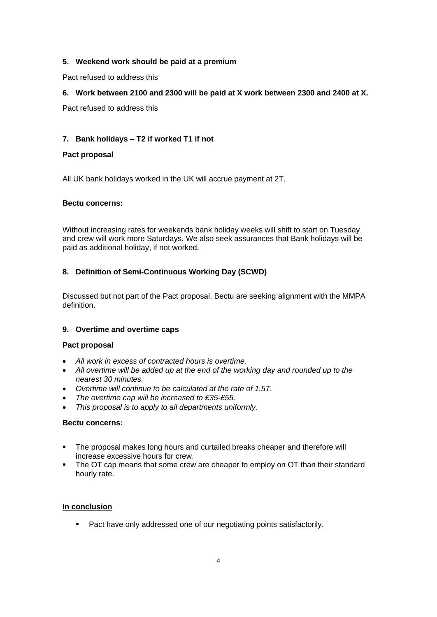## **5. Weekend work should be paid at a premium**

Pact refused to address this

# **6. Work between 2100 and 2300 will be paid at X work between 2300 and 2400 at X.**

Pact refused to address this

# **7. Bank holidays – T2 if worked T1 if not**

## **Pact proposal**

All UK bank holidays worked in the UK will accrue payment at 2T.

### **Bectu concerns:**

Without increasing rates for weekends bank holiday weeks will shift to start on Tuesday and crew will work more Saturdays. We also seek assurances that Bank holidays will be paid as additional holiday, if not worked.

# **8. Definition of Semi-Continuous Working Day (SCWD)**

Discussed but not part of the Pact proposal. Bectu are seeking alignment with the MMPA definition.

### **9. Overtime and overtime caps**

### **Pact proposal**

- *All work in excess of contracted hours is overtime.*
- *All overtime will be added up at the end of the working day and rounded up to the nearest 30 minutes.*
- *Overtime will continue to be calculated at the rate of 1.5T.*
- *The overtime cap will be increased to £35-£55.*
- *This proposal is to apply to all departments uniformly.*

### **Bectu concerns:**

- The proposal makes long hours and curtailed breaks cheaper and therefore will increase excessive hours for crew.
- The OT cap means that some crew are cheaper to employ on OT than their standard hourly rate.

### **In conclusion**

■ Pact have only addressed one of our negotiating points satisfactorily.